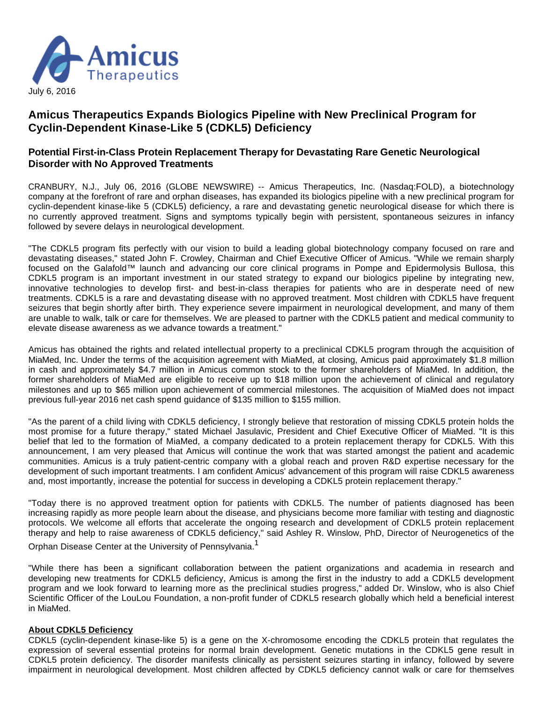

# **Amicus Therapeutics Expands Biologics Pipeline with New Preclinical Program for Cyclin-Dependent Kinase-Like 5 (CDKL5) Deficiency**

## **Potential First-in-Class Protein Replacement Therapy for Devastating Rare Genetic Neurological Disorder with No Approved Treatments**

CRANBURY, N.J., July 06, 2016 (GLOBE NEWSWIRE) -- Amicus Therapeutics, Inc. (Nasdaq:FOLD), a biotechnology company at the forefront of rare and orphan diseases, has expanded its biologics pipeline with a new preclinical program for cyclin-dependent kinase-like 5 (CDKL5) deficiency, a rare and devastating genetic neurological disease for which there is no currently approved treatment. Signs and symptoms typically begin with persistent, spontaneous seizures in infancy followed by severe delays in neurological development.

"The CDKL5 program fits perfectly with our vision to build a leading global biotechnology company focused on rare and devastating diseases," stated John F. Crowley, Chairman and Chief Executive Officer of Amicus. "While we remain sharply focused on the Galafold™ launch and advancing our core clinical programs in Pompe and Epidermolysis Bullosa, this CDKL5 program is an important investment in our stated strategy to expand our biologics pipeline by integrating new, innovative technologies to develop first- and best-in-class therapies for patients who are in desperate need of new treatments. CDKL5 is a rare and devastating disease with no approved treatment. Most children with CDKL5 have frequent seizures that begin shortly after birth. They experience severe impairment in neurological development, and many of them are unable to walk, talk or care for themselves. We are pleased to partner with the CDKL5 patient and medical community to elevate disease awareness as we advance towards a treatment."

Amicus has obtained the rights and related intellectual property to a preclinical CDKL5 program through the acquisition of MiaMed, Inc. Under the terms of the acquisition agreement with MiaMed, at closing, Amicus paid approximately \$1.8 million in cash and approximately \$4.7 million in Amicus common stock to the former shareholders of MiaMed. In addition, the former shareholders of MiaMed are eligible to receive up to \$18 million upon the achievement of clinical and regulatory milestones and up to \$65 million upon achievement of commercial milestones. The acquisition of MiaMed does not impact previous full-year 2016 net cash spend guidance of \$135 million to \$155 million.

"As the parent of a child living with CDKL5 deficiency, I strongly believe that restoration of missing CDKL5 protein holds the most promise for a future therapy," stated Michael Jasulavic, President and Chief Executive Officer of MiaMed. "It is this belief that led to the formation of MiaMed, a company dedicated to a protein replacement therapy for CDKL5. With this announcement, I am very pleased that Amicus will continue the work that was started amongst the patient and academic communities. Amicus is a truly patient-centric company with a global reach and proven R&D expertise necessary for the development of such important treatments. I am confident Amicus' advancement of this program will raise CDKL5 awareness and, most importantly, increase the potential for success in developing a CDKL5 protein replacement therapy."

"Today there is no approved treatment option for patients with CDKL5. The number of patients diagnosed has been increasing rapidly as more people learn about the disease, and physicians become more familiar with testing and diagnostic protocols. We welcome all efforts that accelerate the ongoing research and development of CDKL5 protein replacement therapy and help to raise awareness of CDKL5 deficiency," said Ashley R. Winslow, PhD, Director of Neurogenetics of the

Orphan Disease Center at the University of Pennsylvania.<sup>1</sup>

"While there has been a significant collaboration between the patient organizations and academia in research and developing new treatments for CDKL5 deficiency, Amicus is among the first in the industry to add a CDKL5 development program and we look forward to learning more as the preclinical studies progress," added Dr. Winslow, who is also Chief Scientific Officer of the LouLou Foundation, a non-profit funder of CDKL5 research globally which held a beneficial interest in MiaMed.

#### **About CDKL5 Deficiency**

CDKL5 (cyclin-dependent kinase-like 5) is a gene on the X-chromosome encoding the CDKL5 protein that regulates the expression of several essential proteins for normal brain development. Genetic mutations in the CDKL5 gene result in CDKL5 protein deficiency. The disorder manifests clinically as persistent seizures starting in infancy, followed by severe impairment in neurological development. Most children affected by CDKL5 deficiency cannot walk or care for themselves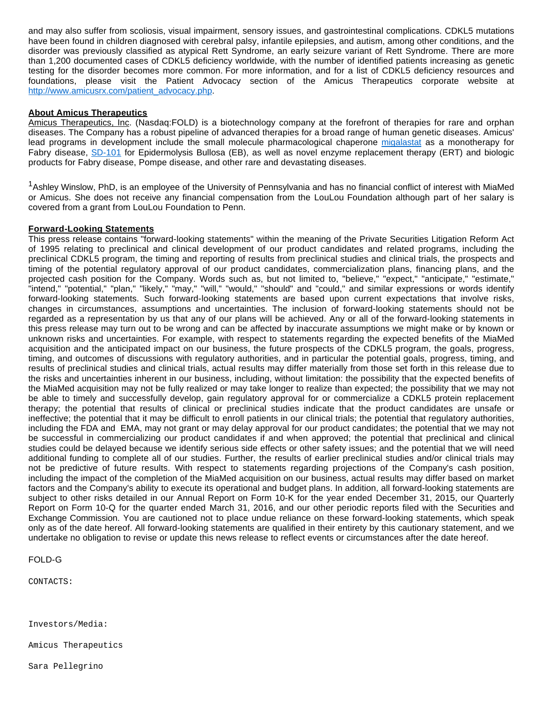and may also suffer from scoliosis, visual impairment, sensory issues, and gastrointestinal complications. CDKL5 mutations have been found in children diagnosed with cerebral palsy, infantile epilepsies, and autism, among other conditions, and the disorder was previously classified as atypical Rett Syndrome, an early seizure variant of Rett Syndrome. There are more than 1,200 documented cases of CDKL5 deficiency worldwide, with the number of identified patients increasing as genetic testing for the disorder becomes more common. For more information, and for a list of CDKL5 deficiency resources and foundations, please visit the Patient Advocacy section of the Amicus Therapeutics corporate website at [http://www.amicusrx.com/patient\\_advocacy.php](https://www.globenewswire.com/Tracker?data=4SR7K4q8U5ntipKtogQS9bLz6vyD84q2iHZ4Xtn8lRGnetWMtdDq-HDJTWhp4LyN3kuR450pHoS7xysZaOvFegr8-DUgdi4EF12PSFagPoOOIRDx7Hq_eH6UrZQtxZZQPIPaIYD6CUlBPS-XjXjPgw==).

### **About Amicus Therapeutics**

Amicus Therapeutics, Inc. (Nasdaq:FOLD) is a biotechnology company at the forefront of therapies for rare and orphan diseases. The Company has a robust pipeline of advanced therapies for a broad range of human genetic diseases. Amicus' lead programs in development include the small molecule pharmacological chaperone [migalastat](https://www.globenewswire.com/Tracker?data=Bx52Q7gFj0JCjfWR2YNT19pyshCU-zCRZb3mlTxQWB9d9iVRUTzIXQ0uqBumTuQBXk7RxetWCcNubhiC2MLryoCyx9JfJpDPxCcmAHqDZ98=) as a monotherapy for Fabry disease, [SD-101](https://www.globenewswire.com/Tracker?data=VC-IvWub_p7WlmFwtrfOFNCLYTlPc6EmJZBF-ne1uJNJ8JhmJnNPYD36k1rrra0f3716cECTd2o0pEiUfYDUKFhnXTB6q-LJZL2lntpasfU=) for Epidermolysis Bullosa (EB), as well as novel enzyme replacement therapy (ERT) and biologic products for Fabry disease, Pompe disease, and other rare and devastating diseases.

 $1$ Ashley Winslow, PhD, is an employee of the University of Pennsylvania and has no financial conflict of interest with MiaMed or Amicus. She does not receive any financial compensation from the LouLou Foundation although part of her salary is covered from a grant from LouLou Foundation to Penn.

#### **Forward-Looking Statements**

This press release contains "forward-looking statements" within the meaning of the Private Securities Litigation Reform Act of 1995 relating to preclinical and clinical development of our product candidates and related programs, including the preclinical CDKL5 program, the timing and reporting of results from preclinical studies and clinical trials, the prospects and timing of the potential regulatory approval of our product candidates, commercialization plans, financing plans, and the projected cash position for the Company. Words such as, but not limited to, "believe," "expect," "anticipate," "estimate," "intend," "potential," "plan," "likely," "may," "will," "would," "should" and "could," and similar expressions or words identify forward-looking statements. Such forward-looking statements are based upon current expectations that involve risks, changes in circumstances, assumptions and uncertainties. The inclusion of forward-looking statements should not be regarded as a representation by us that any of our plans will be achieved. Any or all of the forward-looking statements in this press release may turn out to be wrong and can be affected by inaccurate assumptions we might make or by known or unknown risks and uncertainties. For example, with respect to statements regarding the expected benefits of the MiaMed acquisition and the anticipated impact on our business, the future prospects of the CDKL5 program, the goals, progress, timing, and outcomes of discussions with regulatory authorities, and in particular the potential goals, progress, timing, and results of preclinical studies and clinical trials, actual results may differ materially from those set forth in this release due to the risks and uncertainties inherent in our business, including, without limitation: the possibility that the expected benefits of the MiaMed acquisition may not be fully realized or may take longer to realize than expected; the possibility that we may not be able to timely and successfully develop, gain regulatory approval for or commercialize a CDKL5 protein replacement therapy; the potential that results of clinical or preclinical studies indicate that the product candidates are unsafe or ineffective; the potential that it may be difficult to enroll patients in our clinical trials; the potential that regulatory authorities, including the FDA and EMA, may not grant or may delay approval for our product candidates; the potential that we may not be successful in commercializing our product candidates if and when approved; the potential that preclinical and clinical studies could be delayed because we identify serious side effects or other safety issues; and the potential that we will need additional funding to complete all of our studies. Further, the results of earlier preclinical studies and/or clinical trials may not be predictive of future results. With respect to statements regarding projections of the Company's cash position, including the impact of the completion of the MiaMed acquisition on our business, actual results may differ based on market factors and the Company's ability to execute its operational and budget plans. In addition, all forward-looking statements are subject to other risks detailed in our Annual Report on Form 10-K for the year ended December 31, 2015, our Quarterly Report on Form 10-Q for the quarter ended March 31, 2016, and our other periodic reports filed with the Securities and Exchange Commission. You are cautioned not to place undue reliance on these forward-looking statements, which speak only as of the date hereof. All forward-looking statements are qualified in their entirety by this cautionary statement, and we undertake no obligation to revise or update this news release to reflect events or circumstances after the date hereof.

#### FOLD-G

CONTACTS:

Investors/Media:

Amicus Therapeutics

Sara Pellegrino